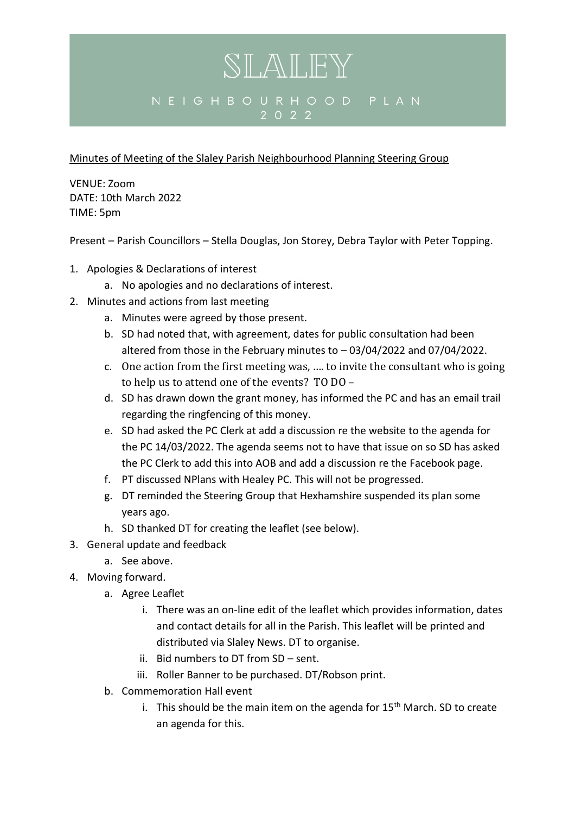## SLALEY NEIGHBOURHOOD PLAN 2 0 2 2

Minutes of Meeting of the Slaley Parish Neighbourhood Planning Steering Group

VENUE: Zoom DATE: 10th March 2022 TIME: 5pm

Present – Parish Councillors – Stella Douglas, Jon Storey, Debra Taylor with Peter Topping.

- 1. Apologies & Declarations of interest
	- a. No apologies and no declarations of interest.
- 2. Minutes and actions from last meeting
	- a. Minutes were agreed by those present.
	- b. SD had noted that, with agreement, dates for public consultation had been altered from those in the February minutes to – 03/04/2022 and 07/04/2022.
	- c. One action from the first meeting was, …. to invite the consultant who is going to help us to attend one of the events? TO DO -
	- d. SD has drawn down the grant money, has informed the PC and has an email trail regarding the ringfencing of this money.
	- e. SD had asked the PC Clerk at add a discussion re the website to the agenda for the PC 14/03/2022. The agenda seems not to have that issue on so SD has asked the PC Clerk to add this into AOB and add a discussion re the Facebook page.
	- f. PT discussed NPlans with Healey PC. This will not be progressed.
	- g. DT reminded the Steering Group that Hexhamshire suspended its plan some years ago.
	- h. SD thanked DT for creating the leaflet (see below).
- 3. General update and feedback
	- a. See above.
- 4. Moving forward.
	- a. Agree Leaflet
		- i. There was an on-line edit of the leaflet which provides information, dates and contact details for all in the Parish. This leaflet will be printed and distributed via Slaley News. DT to organise.
		- ii. Bid numbers to DT from SD sent.
		- iii. Roller Banner to be purchased. DT/Robson print.
	- b. Commemoration Hall event
		- i. This should be the main item on the agenda for  $15<sup>th</sup>$  March. SD to create an agenda for this.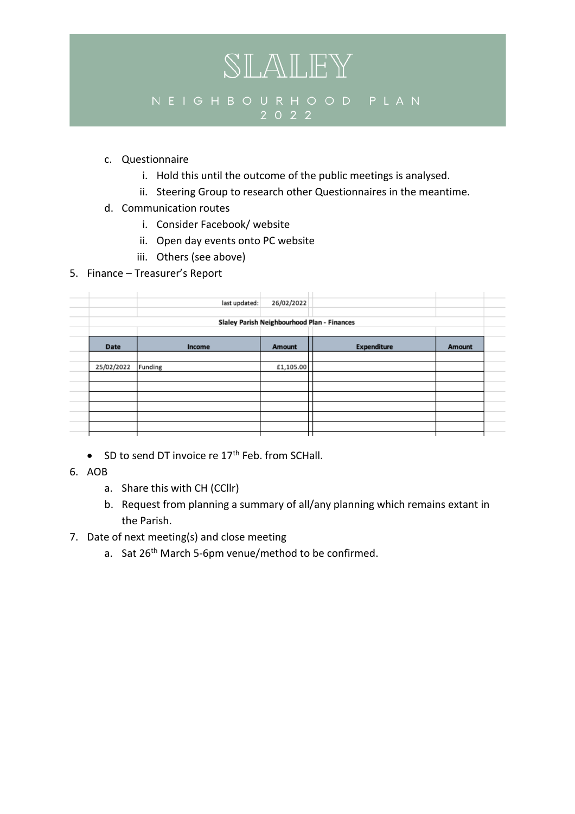## SLALEY  $2022$

- c. Questionnaire
	- i. Hold this until the outcome of the public meetings is analysed.
	- ii. Steering Group to research other Questionnaires in the meantime.
- d. Communication routes
	- i. Consider Facebook/ website
	- ii. Open day events onto PC website
	- iii. Others (see above)
- 5. Finance Treasurer's Report

|            | last updated: | 26/02/2022                                  |                    |        |
|------------|---------------|---------------------------------------------|--------------------|--------|
|            |               | Slaley Parish Neighbourhood Plan - Finances |                    |        |
| Date       | Income        | Amount                                      | <b>Expenditure</b> | Amount |
| 25/02/2022 | Funding       | £1,105.00                                   |                    |        |
|            |               |                                             |                    |        |
|            |               |                                             |                    |        |
|            |               |                                             |                    |        |

- SD to send DT invoice re  $17<sup>th</sup>$  Feb. from SCHall.
- 6. AOB
	- a. Share this with CH (CCllr)
	- b. Request from planning a summary of all/any planning which remains extant in the Parish.
- 7. Date of next meeting(s) and close meeting
	- a. Sat 26<sup>th</sup> March 5-6pm venue/method to be confirmed.